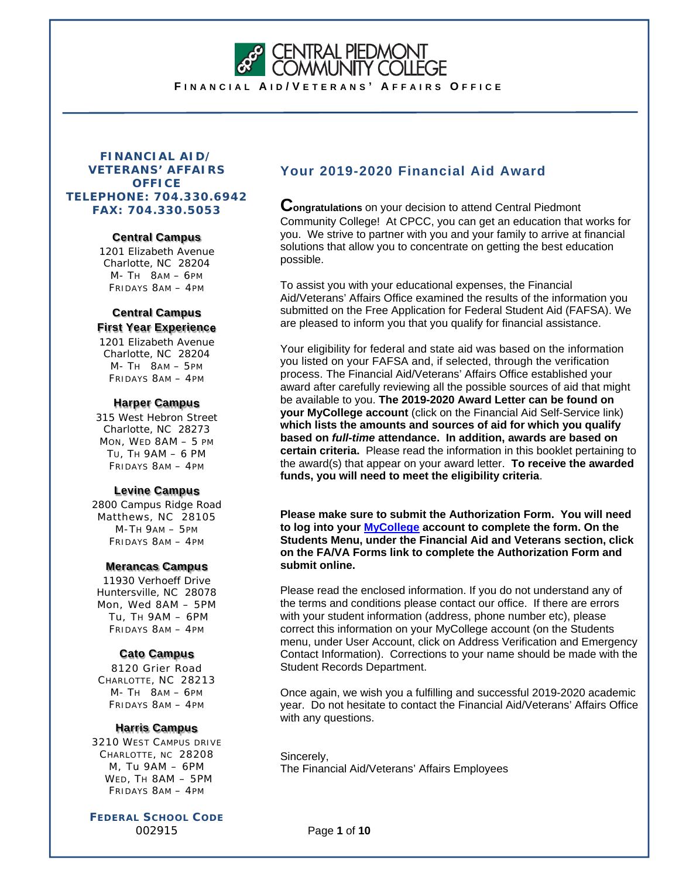**CENTRAL PIEDMONT<br>COMMUNITY COLLEGE** 

**F INANCIAL A I D / V ETERANS ' A FFAIRS O FFICE**

# **FINANCIAL AID/ VETERANS' AFFAIRS OFFICE TELEPHONE: 704.330.6942 FAX: 704.330.5053**

#### **Central Campus**

1201 Elizabeth Avenue Charlotte, NC 28204 M- TH 8AM – 6PM FRIDAYS 8AM – 4PM

# **Central Campus First Year Experience**

1201 Elizabeth Avenue Charlotte, NC 28204 M- TH 8AM – 5PM FRIDAYS 8AM – 4PM

# **Harper Campus**

315 West Hebron Street Charlotte, NC 28273 MON, WED 8AM – 5 PM TU, TH 9AM – 6 PM FRIDAYS 8AM – 4PM

# **Levine Campus**

2800 Campus Ridge Road Matthews, NC 28105 M-TH 9AM – 5PM FRIDAYS 8AM – 4PM

# **Merancas Campus**

11930 Verhoeff Drive Huntersville, NC 28078 Mon, Wed 8AM – 5PM Tu, TH 9AM – 6PM FRIDAYS 8AM – 4PM

# **Cato Campus**

8120 Grier Road CHARLOTTE, NC 28213 M- TH 8AM – 6PM FRIDAYS 8AM – 4PM

# **Harris Campus**

3210 WEST CAMPUS DRIVE CHARLOTTE, NC 28208 M, Tu 9AM – 6PM WED, TH 8AM – 5PM FRIDAYS 8AM – 4PM

**FEDERAL SCHOOL CODE** 002915

# **Your 2019-2020 Financial Aid Award**

**Congratulations** on your decision to attend Central Piedmont Community College! At CPCC, you can get an education that works for you. We strive to partner with you and your family to arrive at financial solutions that allow you to concentrate on getting the best education possible.

To assist you with your educational expenses, the Financial Aid/Veterans' Affairs Office examined the results of the information you submitted on the Free Application for Federal Student Aid (FAFSA). We are pleased to inform you that you qualify for financial assistance.

Your eligibility for federal and state aid was based on the information you listed on your FAFSA and, if selected, through the verification process. The Financial Aid/Veterans' Affairs Office established your award after carefully reviewing all the possible sources of aid that might be available to you. **The 2019-2020 Award Letter can be found on your MyCollege account** (click on the Financial Aid Self-Service link) **which lists the amounts and sources of aid for which you qualify based on** *full-time* **attendance. In addition, awards are based on certain criteria.** Please read the information in this booklet pertaining to the award(s) that appear on your award letter. **To receive the awarded funds, you will need to meet the eligibility criteria**.

**Please make sure to submit the Authorization Form. You will need to log into your MyCollege account to complete the form. On the Students Menu, under the Financial Aid and Veterans section, click on the FA/VA Forms link to complete the Authorization Form and submit online.**

Please read the enclosed information. If you do not understand any of the terms and conditions please contact our office. If there are errors with your student information (address, phone number etc), please correct this information on your MyCollege account (on the Students menu, under User Account, click on Address Verification and Emergency Contact Information). Corrections to your name should be made with the Student Records Department.

Once again, we wish you a fulfilling and successful 2019-2020 academic year. Do not hesitate to contact the Financial Aid/Veterans' Affairs Office with any questions.

Sincerely, The Financial Aid/Veterans' Affairs Employees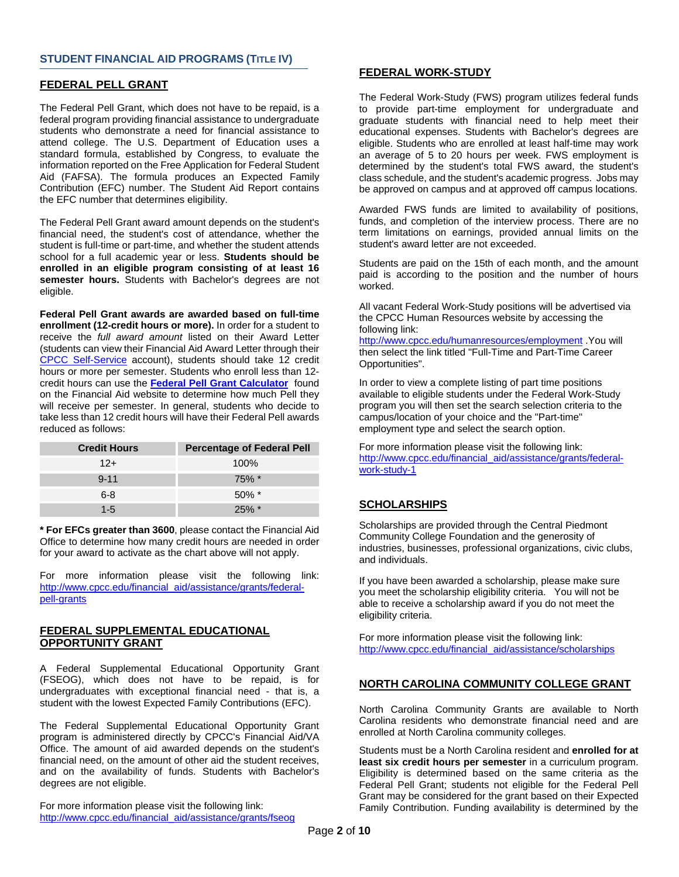#### **STUDENT FINANCIAL AID PROGRAMS (TITLE IV)**

#### **FEDERAL PELL GRANT**

The Federal Pell Grant, which does not have to be repaid, is a federal program providing financial assistance to undergraduate students who demonstrate a need for financial assistance to attend college. The U.S. Department of Education uses a standard formula, established by Congress, to evaluate the information reported on the Free Application for Federal Student Aid (FAFSA). The formula produces an Expected Family Contribution (EFC) number. The Student Aid Report contains the EFC number that determines eligibility.

The Federal Pell Grant award amount depends on the student's financial need, the student's cost of attendance, whether the student is full-time or part-time, and whether the student attends school for a full academic year or less. **Students should be enrolled in an eligible program consisting of at least 16 semester hours.** Students with Bachelor's degrees are not eligible.

**Federal Pell Grant awards are awarded based on full-time enrollment (12-credit hours or more).** In order for a student to receive the *full award amount* listed on their Award Letter (students can view their Financial Aid Award Letter through their CPCC Self-Service account), students should take 12 credit hours or more per semester. Students who enroll less than 12 credit hours can use the **Federal Pell Grant Calculator** found on the Financial Aid website to determine how much Pell they will receive per semester. In general, students who decide to take less than 12 credit hours will have their Federal Pell awards reduced as follows:

| <b>Credit Hours</b> | <b>Percentage of Federal Pell</b> |
|---------------------|-----------------------------------|
| $12+$               | $100\%$                           |
| $9 - 11$            | $75\%$ *                          |
| $6 - 8$             | $50\%$ *                          |
| 1-5                 |                                   |

**\* For EFCs greater than 3600**, please contact the Financial Aid Office to determine how many credit hours are needed in order for your award to activate as the chart above will not apply.

For more information please visit the following link: http://www.cpcc.edu/financial\_aid/assistance/grants/federalpell-grants

#### **FEDERAL SUPPLEMENTAL EDUCATIONAL OPPORTUNITY GRANT**

A Federal Supplemental Educational Opportunity Grant (FSEOG), which does not have to be repaid, is for undergraduates with exceptional financial need - that is, a student with the lowest Expected Family Contributions (EFC).

The Federal Supplemental Educational Opportunity Grant program is administered directly by CPCC's Financial Aid/VA Office. The amount of aid awarded depends on the student's financial need, on the amount of other aid the student receives, and on the availability of funds. Students with Bachelor's degrees are not eligible.

For more information please visit the following link: http://www.cpcc.edu/financial\_aid/assistance/grants/fseog

### **FEDERAL WORK-STUDY**

The Federal Work-Study (FWS) program utilizes federal funds to provide part-time employment for undergraduate and graduate students with financial need to help meet their educational expenses. Students with Bachelor's degrees are eligible. Students who are enrolled at least half-time may work an average of 5 to 20 hours per week. FWS employment is determined by the student's total FWS award, the student's class schedule, and the student's academic progress. Jobs may be approved on campus and at approved off campus locations.

Awarded FWS funds are limited to availability of positions, funds, and completion of the interview process. There are no term limitations on earnings, provided annual limits on the student's award letter are not exceeded.

Students are paid on the 15th of each month, and the amount paid is according to the position and the number of hours worked.

All vacant Federal Work-Study positions will be advertised via the CPCC Human Resources website by accessing the following link:

http://www.cpcc.edu/humanresources/employment .You will then select the link titled "Full-Time and Part-Time Career Opportunities".

In order to view a complete listing of part time positions available to eligible students under the Federal Work-Study program you will then set the search selection criteria to the campus/location of your choice and the "Part-time" employment type and select the search option.

For more information please visit the following link: http://www.cpcc.edu/financial\_aid/assistance/grants/federalwork-study-1

### **SCHOLARSHIPS**

Scholarships are provided through the Central Piedmont Community College Foundation and the generosity of industries, businesses, professional organizations, civic clubs, and individuals.

If you have been awarded a scholarship, please make sure you meet the scholarship eligibility criteria. You will not be able to receive a scholarship award if you do not meet the eligibility criteria.

For more information please visit the following link: http://www.cpcc.edu/financial\_aid/assistance/scholarships

### **NORTH CAROLINA COMMUNITY COLLEGE GRANT**

North Carolina Community Grants are available to North Carolina residents who demonstrate financial need and are enrolled at North Carolina community colleges.

Students must be a North Carolina resident and **enrolled for at least six credit hours per semester** in a curriculum program. Eligibility is determined based on the same criteria as the Federal Pell Grant; students not eligible for the Federal Pell Grant may be considered for the grant based on their Expected Family Contribution. Funding availability is determined by the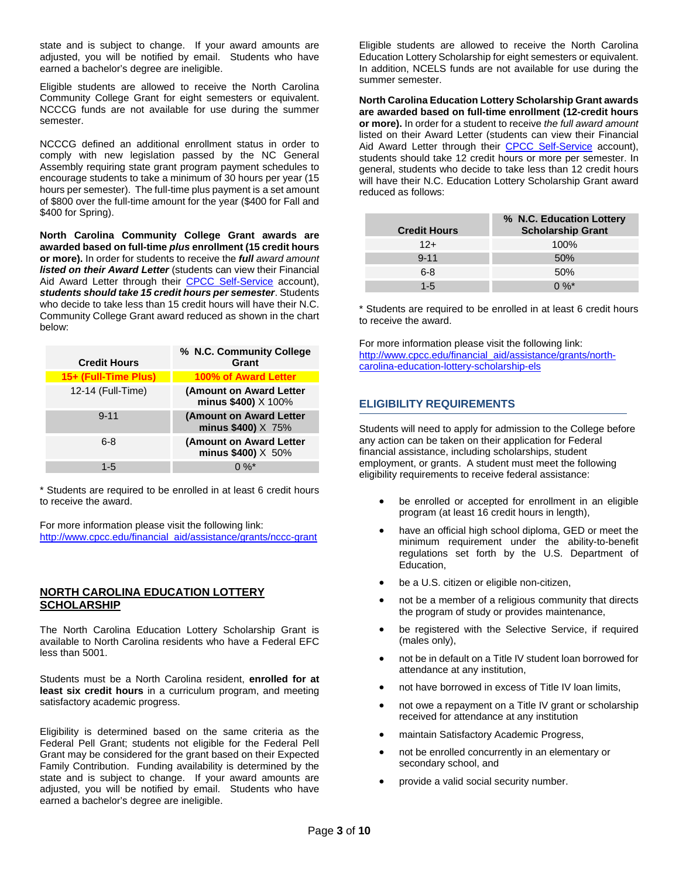state and is subject to change. If your award amounts are adjusted, you will be notified by email. Students who have earned a bachelor's degree are ineligible.

Eligible students are allowed to receive the North Carolina Community College Grant for eight semesters or equivalent. NCCCG funds are not available for use during the summer semester.

NCCCG defined an additional enrollment status in order to comply with new legislation passed by the NC General Assembly requiring state grant program payment schedules to encourage students to take a minimum of 30 hours per year (15 hours per semester). The full-time plus payment is a set amount of \$800 over the full-time amount for the year (\$400 for Fall and \$400 for Spring).

**North Carolina Community College Grant awards are awarded based on full-time** *plus* **enrollment (15 credit hours or more).** In order for students to receive the *full award amount listed on their Award Letter* (students can view their Financial Aid Award Letter through their CPCC Self-Service account), *students should take 15 credit hours per semester*. Students who decide to take less than 15 credit hours will have their N.C. Community College Grant award reduced as shown in the chart below:

| <b>Credit Hours</b>  | % N.C. Community College<br>Grant                       |
|----------------------|---------------------------------------------------------|
| 15+ (Full-Time Plus) | 100% of Award Letter                                    |
| 12-14 (Full-Time)    | (Amount on Award Letter<br>minus \$400) X 100%          |
| $9 - 11$             | (Amount on Award Letter<br>minus \$400) X 75%           |
| 6-8                  | (Amount on Award Letter<br>minus $$400$ ) $\times 50\%$ |
| 1-5                  | በ %*                                                    |

\* Students are required to be enrolled in at least 6 credit hours to receive the award.

For more information please visit the following link: http://www.cpcc.edu/financial\_aid/assistance/grants/nccc-grant

#### **NORTH CAROLINA EDUCATION LOTTERY SCHOLARSHIP**

The North Carolina Education Lottery Scholarship Grant is available to North Carolina residents who have a Federal EFC less than 5001.

Students must be a North Carolina resident, **enrolled for at least six credit hours** in a curriculum program, and meeting satisfactory academic progress.

Eligibility is determined based on the same criteria as the Federal Pell Grant; students not eligible for the Federal Pell Grant may be considered for the grant based on their Expected Family Contribution. Funding availability is determined by the state and is subject to change. If your award amounts are adjusted, you will be notified by email. Students who have earned a bachelor's degree are ineligible.

Eligible students are allowed to receive the North Carolina Education Lottery Scholarship for eight semesters or equivalent. In addition, NCELS funds are not available for use during the summer semester.

**North Carolina Education Lottery Scholarship Grant awards are awarded based on full-time enrollment (12-credit hours or more).** In order for a student to receive *the full award amount* listed on their Award Letter (students can view their Financial Aid Award Letter through their CPCC Self-Service account), students should take 12 credit hours or more per semester. In general, students who decide to take less than 12 credit hours will have their N.C. Education Lottery Scholarship Grant award reduced as follows:

| <b>Credit Hours</b> | % N.C. Education Lottery<br><b>Scholarship Grant</b> |
|---------------------|------------------------------------------------------|
| $12+$               | 100%                                                 |
| $9 - 11$            | 50%                                                  |
| $6 - 8$             | 50%                                                  |
| $1 - 5$             | $0\%$ *                                              |

\* Students are required to be enrolled in at least 6 credit hours to receive the award.

For more information please visit the following link: http://www.cpcc.edu/financial\_aid/assistance/grants/northcarolina-education-lottery-scholarship-els

# **ELIGIBILITY REQUIREMENTS**

Students will need to apply for admission to the College before any action can be taken on their application for Federal financial assistance, including scholarships, student employment, or grants. A student must meet the following eligibility requirements to receive federal assistance:

- be enrolled or accepted for enrollment in an eligible program (at least 16 credit hours in length),
- have an official high school diploma, GED or meet the minimum requirement under the ability-to-benefit regulations set forth by the U.S. Department of Education,
- be a U.S. citizen or eligible non-citizen,
- not be a member of a religious community that directs the program of study or provides maintenance,
- be registered with the Selective Service, if required (males only),
- not be in default on a Title IV student loan borrowed for attendance at any institution,
- not have borrowed in excess of Title IV loan limits,
- not owe a repayment on a Title IV grant or scholarship received for attendance at any institution
- maintain Satisfactory Academic Progress,
- not be enrolled concurrently in an elementary or secondary school, and
- provide a valid social security number.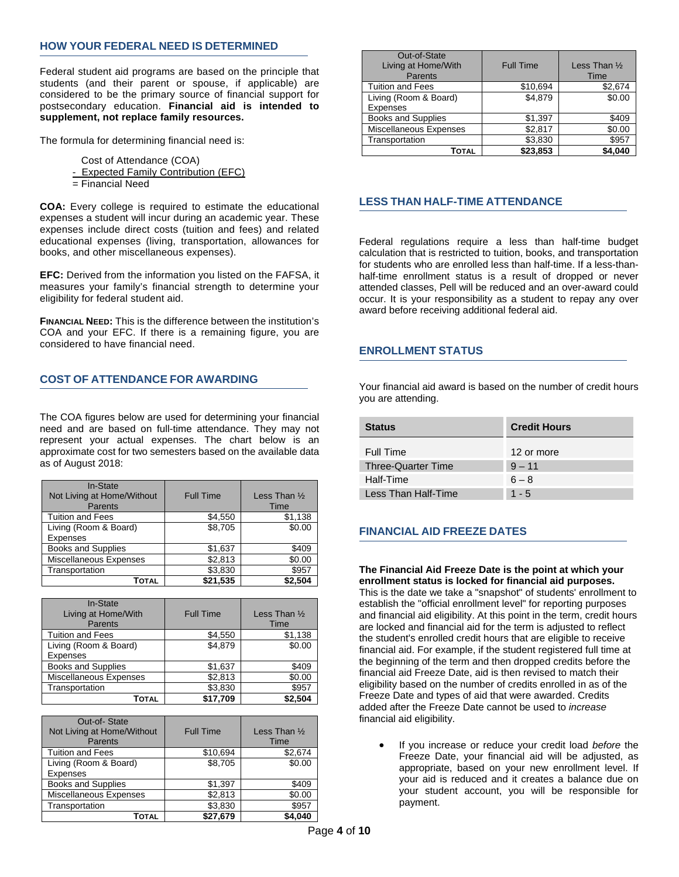### **HOW YOUR FEDERAL NEED IS DETERMINED**

Federal student aid programs are based on the principle that students (and their parent or spouse, if applicable) are considered to be the primary source of financial support for postsecondary education. **Financial aid is intended to supplement, not replace family resources.** 

The formula for determining financial need is:

- Cost of Attendance (COA)
- Expected Family Contribution (EFC)
- = Financial Need

**COA:** Every college is required to estimate the educational expenses a student will incur during an academic year. These expenses include direct costs (tuition and fees) and related educational expenses (living, transportation, allowances for books, and other miscellaneous expenses).

**EFC:** Derived from the information you listed on the FAFSA, it measures your family's financial strength to determine your eligibility for federal student aid.

**FINANCIAL NEED:** This is the difference between the institution's COA and your EFC. If there is a remaining figure, you are considered to have financial need.

# **COST OF ATTENDANCE FOR AWARDING**

The COA figures below are used for determining your financial need and are based on full-time attendance. They may not represent your actual expenses. The chart below is an approximate cost for two semesters based on the available data as of August 2018:

| In-State<br>Not Living at Home/Without<br>Parents | <b>Full Time</b> | Less Than $\frac{1}{2}$<br>Time |
|---------------------------------------------------|------------------|---------------------------------|
| <b>Tuition and Fees</b>                           | \$4.550          | \$1,138                         |
| Living (Room & Board)                             | \$8.705          | \$0.00                          |
| Expenses                                          |                  |                                 |
| <b>Books and Supplies</b>                         | \$1,637          | \$409                           |
| Miscellaneous Expenses                            | \$2,813          | \$0.00                          |
| Transportation                                    | \$3,830          | \$957                           |
| Τοτal                                             | \$21.535         | \$2,504                         |

| In-State<br>Living at Home/With<br>Parents | <b>Full Time</b> | Less Than $\frac{1}{2}$<br><b>Time</b> |
|--------------------------------------------|------------------|----------------------------------------|
| <b>Tuition and Fees</b>                    | \$4,550          | \$1,138                                |
| Living (Room & Board)                      | \$4.879          | \$0.00                                 |
| <b>Expenses</b>                            |                  |                                        |
| <b>Books and Supplies</b>                  | \$1,637          | \$409                                  |
| Miscellaneous Expenses                     | \$2,813          | \$0.00                                 |
| Transportation                             | \$3,830          | \$957                                  |
| Τοτal                                      | \$17,709         | \$2.504                                |

| Out-of-State<br>Not Living at Home/Without<br>Parents | <b>Full Time</b> | Less Than $\frac{1}{2}$<br>Time |
|-------------------------------------------------------|------------------|---------------------------------|
| <b>Tuition and Fees</b>                               | \$10,694         | \$2,674                         |
| Living (Room & Board)                                 | \$8.705          | \$0.00                          |
| Expenses                                              |                  |                                 |
| <b>Books and Supplies</b>                             | \$1,397          | \$409                           |
| Miscellaneous Expenses                                | \$2,813          | \$0.00                          |
| Transportation                                        | \$3,830          | \$957                           |
| Τοτal                                                 | \$27,679         | \$4.040                         |

| Out-of-State<br>Living at Home/With<br>Parents | <b>Full Time</b> | Less Than $\frac{1}{2}$<br>Time |
|------------------------------------------------|------------------|---------------------------------|
| <b>Tuition and Fees</b>                        | \$10,694         | \$2,674                         |
| Living (Room & Board)<br><b>Expenses</b>       | \$4.879          | \$0.00                          |
| <b>Books and Supplies</b>                      | \$1,397          | \$409                           |
| Miscellaneous Expenses                         | \$2,817          | \$0.00                          |
| Transportation                                 | \$3,830          | \$957                           |
| TOTAL                                          | \$23,853         | \$4.040                         |

# **LESS THAN HALF-TIME ATTENDANCE**

Federal regulations require a less than half-time budget calculation that is restricted to tuition, books, and transportation for students who are enrolled less than half-time. If a less-thanhalf-time enrollment status is a result of dropped or never attended classes, Pell will be reduced and an over-award could occur. It is your responsibility as a student to repay any over award before receiving additional federal aid.

#### **ENROLLMENT STATUS**

Your financial aid award is based on the number of credit hours you are attending.

| <b>Status</b>             | <b>Credit Hours</b> |
|---------------------------|---------------------|
| Full Time                 | 12 or more          |
| <b>Three-Quarter Time</b> | $9 - 11$            |
| Half-Time                 | $6 - 8$             |
| Less Than Half-Time       | $1 - 5$             |

### **FINANCIAL AID FREEZE DATES**

**The Financial Aid Freeze Date is the point at which your enrollment status is locked for financial aid purposes.** This is the date we take a "snapshot" of students' enrollment to establish the "official enrollment level" for reporting purposes and financial aid eligibility. At this point in the term, credit hours are locked and financial aid for the term is adjusted to reflect the student's enrolled credit hours that are eligible to receive financial aid. For example, if the student registered full time at the beginning of the term and then dropped credits before the financial aid Freeze Date, aid is then revised to match their eligibility based on the number of credits enrolled in as of the Freeze Date and types of aid that were awarded. Credits added after the Freeze Date cannot be used to *increase* financial aid eligibility.

 If you increase or reduce your credit load *before* the Freeze Date, your financial aid will be adjusted, as appropriate, based on your new enrollment level. If your aid is reduced and it creates a balance due on your student account, you will be responsible for payment.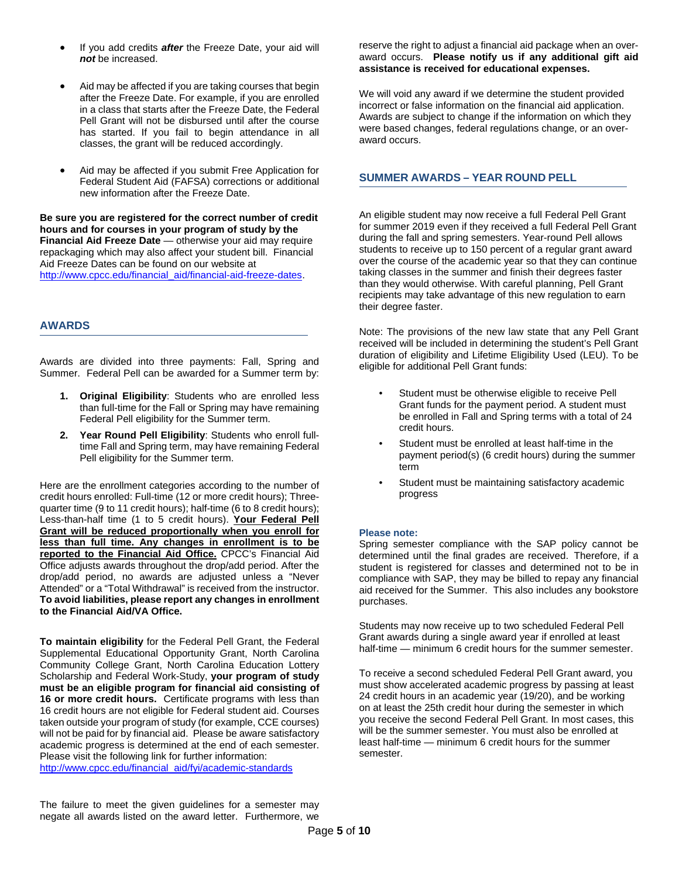- If you add credits *after* the Freeze Date, your aid will *not* be increased.
- Aid may be affected if you are taking courses that begin after the Freeze Date. For example, if you are enrolled in a class that starts after the Freeze Date, the Federal Pell Grant will not be disbursed until after the course has started. If you fail to begin attendance in all classes, the grant will be reduced accordingly.
- Aid may be affected if you submit Free Application for Federal Student Aid (FAFSA) corrections or additional new information after the Freeze Date.

**Be sure you are registered for the correct number of credit hours and for courses in your program of study by the Financial Aid Freeze Date** — otherwise your aid may require repackaging which may also affect your student bill. Financial Aid Freeze Dates can be found on our website at http://www.cpcc.edu/financial\_aid/financial-aid-freeze-dates.

### **AWARDS**

Awards are divided into three payments: Fall, Spring and Summer. Federal Pell can be awarded for a Summer term by:

- **1. Original Eligibility**: Students who are enrolled less than full-time for the Fall or Spring may have remaining Federal Pell eligibility for the Summer term.
- **2. Year Round Pell Eligibility**: Students who enroll fulltime Fall and Spring term, may have remaining Federal Pell eligibility for the Summer term.

Here are the enrollment categories according to the number of credit hours enrolled: Full-time (12 or more credit hours); Threequarter time (9 to 11 credit hours); half-time (6 to 8 credit hours); Less-than-half time (1 to 5 credit hours). **Your Federal Pell Grant will be reduced proportionally when you enroll for less than full time. Any changes in enrollment is to be reported to the Financial Aid Office.** CPCC's Financial Aid Office adjusts awards throughout the drop/add period. After the drop/add period, no awards are adjusted unless a "Never Attended" or a "Total Withdrawal" is received from the instructor. **To avoid liabilities, please report any changes in enrollment to the Financial Aid/VA Office.** 

**To maintain eligibility** for the Federal Pell Grant, the Federal Supplemental Educational Opportunity Grant, North Carolina Community College Grant, North Carolina Education Lottery Scholarship and Federal Work-Study, **your program of study must be an eligible program for financial aid consisting of 16 or more credit hours.** Certificate programs with less than 16 credit hours are not eligible for Federal student aid. Courses taken outside your program of study (for example, CCE courses) will not be paid for by financial aid. Please be aware satisfactory academic progress is determined at the end of each semester. Please visit the following link for further information: http://www.cpcc.edu/financial\_aid/fyi/academic-standards

reserve the right to adjust a financial aid package when an overaward occurs. **Please notify us if any additional gift aid assistance is received for educational expenses.** 

We will void any award if we determine the student provided incorrect or false information on the financial aid application. Awards are subject to change if the information on which they were based changes, federal regulations change, or an overaward occurs.

# **SUMMER AWARDS – YEAR ROUND PELL**

An eligible student may now receive a full Federal Pell Grant for summer 2019 even if they received a full Federal Pell Grant during the fall and spring semesters. Year-round Pell allows students to receive up to 150 percent of a regular grant award over the course of the academic year so that they can continue taking classes in the summer and finish their degrees faster than they would otherwise. With careful planning, Pell Grant recipients may take advantage of this new regulation to earn their degree faster.

Note: The provisions of the new law state that any Pell Grant received will be included in determining the student's Pell Grant duration of eligibility and Lifetime Eligibility Used (LEU). To be eligible for additional Pell Grant funds:

- Student must be otherwise eligible to receive Pell Grant funds for the payment period. A student must be enrolled in Fall and Spring terms with a total of 24 credit hours.
- Student must be enrolled at least half-time in the payment period(s) (6 credit hours) during the summer term
- Student must be maintaining satisfactory academic progress

# **Please note:**

Spring semester compliance with the SAP policy cannot be determined until the final grades are received. Therefore, if a student is registered for classes and determined not to be in compliance with SAP, they may be billed to repay any financial aid received for the Summer. This also includes any bookstore purchases.

Students may now receive up to two scheduled Federal Pell Grant awards during a single award year if enrolled at least half-time — minimum 6 credit hours for the summer semester.

To receive a second scheduled Federal Pell Grant award, you must show accelerated academic progress by passing at least 24 credit hours in an academic year (19/20), and be working on at least the 25th credit hour during the semester in which you receive the second Federal Pell Grant. In most cases, this will be the summer semester. You must also be enrolled at least half-time — minimum 6 credit hours for the summer semester.

The failure to meet the given guidelines for a semester may negate all awards listed on the award letter. Furthermore, we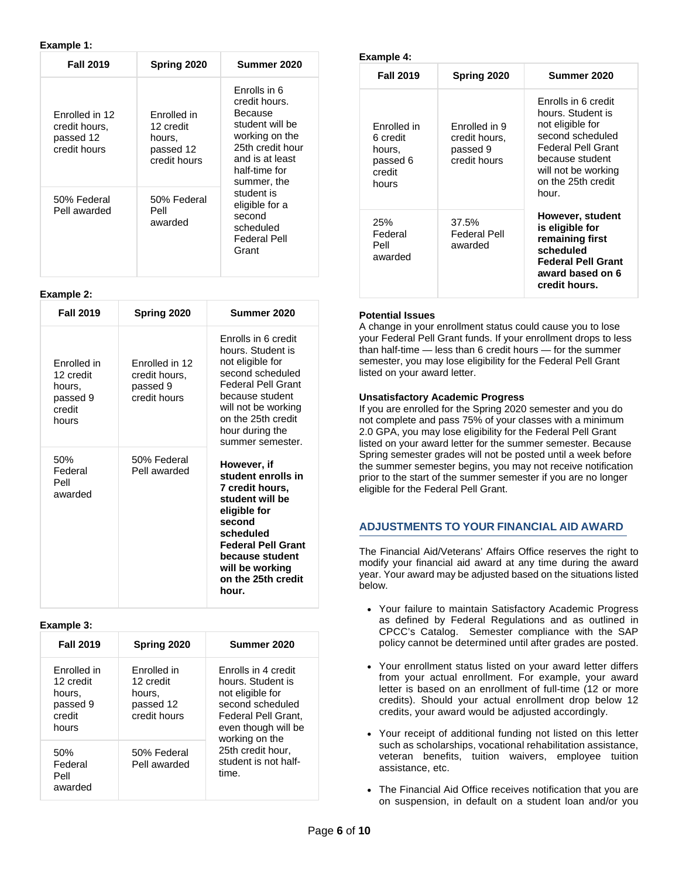#### **Example 1:**

| <b>Fall 2019</b>                                             | Spring 2020                                                     | Summer 2020                                                                                                                                          |
|--------------------------------------------------------------|-----------------------------------------------------------------|------------------------------------------------------------------------------------------------------------------------------------------------------|
| Enrolled in 12<br>credit hours,<br>passed 12<br>credit hours | Enrolled in<br>12 credit<br>hours.<br>passed 12<br>credit hours | Enrolls in 6<br>credit hours.<br>Because<br>student will be<br>working on the<br>25th credit hour<br>and is at least<br>half-time for<br>summer, the |
| 50% Federal<br>Pell awarded                                  | 50% Federal<br>Pell<br>awarded                                  | student is<br>eligible for a<br>second<br>scheduled<br>Federal Pell<br>Grant                                                                         |

### **Example 2:**

| <b>Fall 2019</b>                                                  | Spring 2020                                                 | Summer 2020                                                                                                                                                                                                          |
|-------------------------------------------------------------------|-------------------------------------------------------------|----------------------------------------------------------------------------------------------------------------------------------------------------------------------------------------------------------------------|
| Enrolled in<br>12 credit<br>hours,<br>passed 9<br>credit<br>hours | Enrolled in 12<br>credit hours,<br>passed 9<br>credit hours | Enrolls in 6 credit<br>hours. Student is<br>not eligible for<br>second scheduled<br><b>Federal Pell Grant</b><br>because student<br>will not be working<br>on the 25th credit<br>hour during the<br>summer semester. |
| 50%<br>Federal<br>Pell<br>awarded                                 | 50% Federal<br>Pell awarded                                 | However, if<br>student enrolls in<br>7 credit hours,<br>student will be<br>eligible for<br>second<br>scheduled<br><b>Federal Pell Grant</b><br>because student<br>will be working<br>on the 25th credit<br>hour.     |

#### **Example 3:**

| <b>Fall 2019</b>                                                  | Spring 2020                                                     | Summer 2020                                                                                                                                      |
|-------------------------------------------------------------------|-----------------------------------------------------------------|--------------------------------------------------------------------------------------------------------------------------------------------------|
| Enrolled in<br>12 credit<br>hours.<br>passed 9<br>credit<br>hours | Enrolled in<br>12 credit<br>hours.<br>passed 12<br>credit hours | Enrolls in 4 credit<br>hours. Student is<br>not eligible for<br>second scheduled<br>Federal Pell Grant,<br>even though will be<br>working on the |
| 50%<br>Federal<br>Pell<br>awarded                                 | 50% Federal<br>Pell awarded                                     | 25th credit hour,<br>student is not half-<br>time.                                                                                               |

| Example 4:                                                       |                                                            |                                                                                                                                                                                 |
|------------------------------------------------------------------|------------------------------------------------------------|---------------------------------------------------------------------------------------------------------------------------------------------------------------------------------|
| <b>Fall 2019</b>                                                 | Spring 2020                                                | Summer 2020                                                                                                                                                                     |
| Enrolled in<br>6 credit<br>hours.<br>passed 6<br>credit<br>hours | Enrolled in 9<br>credit hours,<br>passed 9<br>credit hours | Enrolls in 6 credit<br>hours. Student is<br>not eligible for<br>second scheduled<br>Federal Pell Grant<br>because student<br>will not be working<br>on the 25th credit<br>hour. |
| 25%<br>Federal<br>Pell<br>awarded                                | 37.5%<br>Federal Pell<br>awarded                           | However, student<br>is eligible for<br>remaining first<br>scheduled<br><b>Federal Pell Grant</b><br>award based on 6<br>credit hours.                                           |

#### **Potential Issues**

A change in your enrollment status could cause you to lose your Federal Pell Grant funds. If your enrollment drops to less than half-time — less than 6 credit hours — for the summer semester, you may lose eligibility for the Federal Pell Grant listed on your award letter.

#### **Unsatisfactory Academic Progress**

If you are enrolled for the Spring 2020 semester and you do not complete and pass 75% of your classes with a minimum 2.0 GPA, you may lose eligibility for the Federal Pell Grant listed on your award letter for the summer semester. Because Spring semester grades will not be posted until a week before the summer semester begins, you may not receive notification prior to the start of the summer semester if you are no longer eligible for the Federal Pell Grant.

### **ADJUSTMENTS TO YOUR FINANCIAL AID AWARD**

The Financial Aid/Veterans' Affairs Office reserves the right to modify your financial aid award at any time during the award year. Your award may be adjusted based on the situations listed below.

- Your failure to maintain Satisfactory Academic Progress as defined by Federal Regulations and as outlined in CPCC's Catalog. Semester compliance with the SAP policy cannot be determined until after grades are posted.
- Your enrollment status listed on your award letter differs from your actual enrollment. For example, your award letter is based on an enrollment of full-time (12 or more credits). Should your actual enrollment drop below 12 credits, your award would be adjusted accordingly.
- Your receipt of additional funding not listed on this letter such as scholarships, vocational rehabilitation assistance, veteran benefits, tuition waivers, employee tuition assistance, etc.
- The Financial Aid Office receives notification that you are on suspension, in default on a student loan and/or you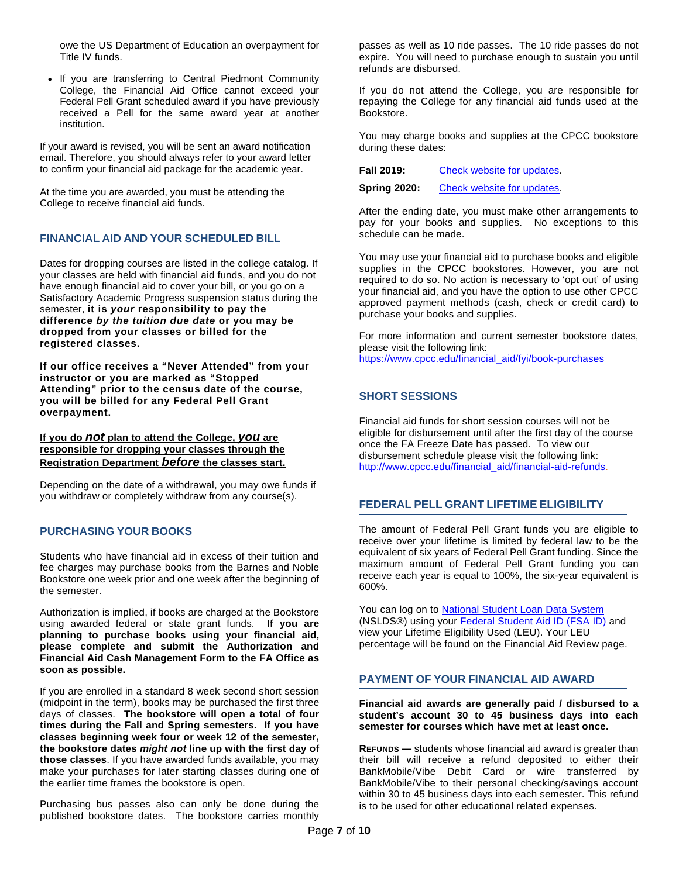owe the US Department of Education an overpayment for Title IV funds.

• If you are transferring to Central Piedmont Community College, the Financial Aid Office cannot exceed your Federal Pell Grant scheduled award if you have previously received a Pell for the same award year at another institution.

If your award is revised, you will be sent an award notification email. Therefore, you should always refer to your award letter to confirm your financial aid package for the academic year.

At the time you are awarded, you must be attending the College to receive financial aid funds.

# **FINANCIAL AID AND YOUR SCHEDULED BILL**

Dates for dropping courses are listed in the college catalog. If your classes are held with financial aid funds, and you do not have enough financial aid to cover your bill, or you go on a Satisfactory Academic Progress suspension status during the semester, **it is** *your* **responsibility to pay the difference** *by the tuition due date* **or you may be dropped from your classes or billed for the registered classes.**

**If our office receives a "Never Attended" from your instructor or you are marked as "Stopped Attending" prior to the census date of the course, you will be billed for any Federal Pell Grant overpayment.** 

**If you do** *not* **plan to attend the College,** *you* **are responsible for dropping your classes through the Registration Department** *before* **the classes start.** 

Depending on the date of a withdrawal, you may owe funds if you withdraw or completely withdraw from any course(s).

### **PURCHASING YOUR BOOKS**

Students who have financial aid in excess of their tuition and fee charges may purchase books from the Barnes and Noble Bookstore one week prior and one week after the beginning of the semester.

Authorization is implied, if books are charged at the Bookstore using awarded federal or state grant funds. **If you are planning to purchase books using your financial aid, please complete and submit the Authorization and Financial Aid Cash Management Form to the FA Office as soon as possible.** 

If you are enrolled in a standard 8 week second short session (midpoint in the term), books may be purchased the first three days of classes. **The bookstore will open a total of four times during the Fall and Spring semesters. If you have classes beginning week four or week 12 of the semester, the bookstore dates** *might not* **line up with the first day of those classes**. If you have awarded funds available, you may make your purchases for later starting classes during one of the earlier time frames the bookstore is open.

Purchasing bus passes also can only be done during the published bookstore dates. The bookstore carries monthly passes as well as 10 ride passes. The 10 ride passes do not expire. You will need to purchase enough to sustain you until refunds are disbursed.

If you do not attend the College, you are responsible for repaying the College for any financial aid funds used at the Bookstore.

You may charge books and supplies at the CPCC bookstore during these dates:

**Fall 2019:** Check website for updates.

**Spring 2020:** Check website for updates.

After the ending date, you must make other arrangements to pay for your books and supplies. No exceptions to this schedule can be made.

You may use your financial aid to purchase books and eligible supplies in the CPCC bookstores. However, you are not required to do so. No action is necessary to 'opt out' of using your financial aid, and you have the option to use other CPCC approved payment methods (cash, check or credit card) to purchase your books and supplies.

For more information and current semester bookstore dates, please visit the following link:

https://www.cpcc.edu/financial\_aid/fyi/book-purchases

### **SHORT SESSIONS**

Financial aid funds for short session courses will not be eligible for disbursement until after the first day of the course once the FA Freeze Date has passed. To view our disbursement schedule please visit the following link: http://www.cpcc.edu/financial\_aid/financial-aid-refunds.

### **FEDERAL PELL GRANT LIFETIME ELIGIBILITY**

The amount of Federal Pell Grant funds you are eligible to receive over your lifetime is limited by federal law to be the equivalent of six years of Federal Pell Grant funding. Since the maximum amount of Federal Pell Grant funding you can receive each year is equal to 100%, the six-year equivalent is 600%.

You can log on to **National Student Loan Data System** (NSLDS®) using your Federal Student Aid ID (FSA ID) and view your Lifetime Eligibility Used (LEU). Your LEU percentage will be found on the Financial Aid Review page.

### **PAYMENT OF YOUR FINANCIAL AID AWARD**

**Financial aid awards are generally paid / disbursed to a student's account 30 to 45 business days into each semester for courses which have met at least once.** 

**REFUNDS —** students whose financial aid award is greater than their bill will receive a refund deposited to either their BankMobile/Vibe Debit Card or wire transferred by BankMobile/Vibe to their personal checking/savings account within 30 to 45 business days into each semester. This refund is to be used for other educational related expenses.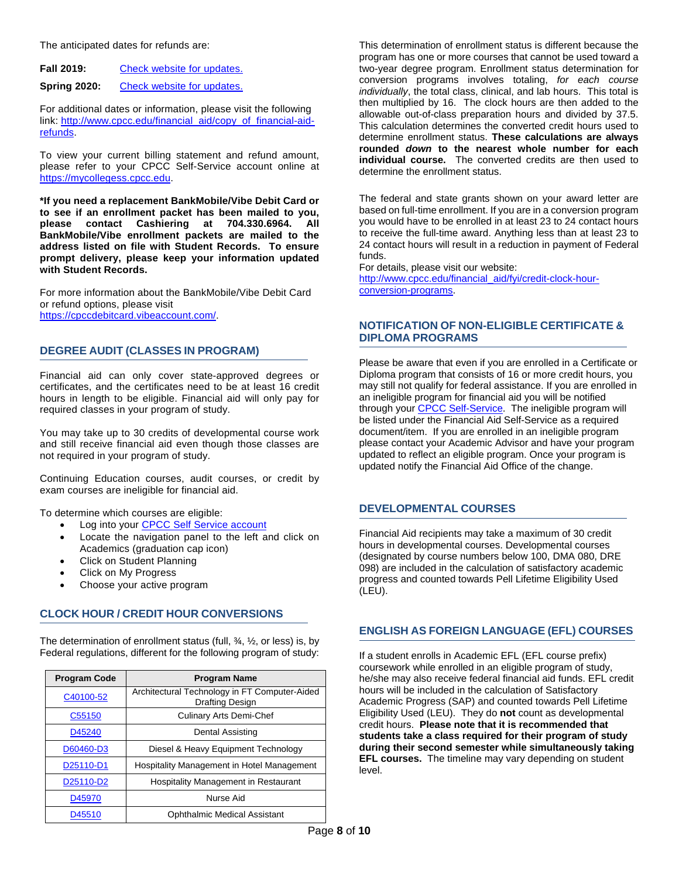The anticipated dates for refunds are:

| <b>Fall 2019:</b> |  | Check website for updates. |
|-------------------|--|----------------------------|
|                   |  |                            |

**Spring 2020:** Check website for updates.

For additional dates or information, please visit the following link: http://www.cpcc.edu/financial\_aid/copy\_of\_financial-aidrefunds.

To view your current billing statement and refund amount, please refer to your CPCC Self-Service account online at https://mycollegess.cpcc.edu.

**\*If you need a replacement BankMobile/Vibe Debit Card or to see if an enrollment packet has been mailed to you, please contact Cashiering at 704.330.6964. All BankMobile/Vibe enrollment packets are mailed to the address listed on file with Student Records. To ensure prompt delivery, please keep your information updated with Student Records.** 

For more information about the BankMobile/Vibe Debit Card or refund options, please visit https://cpccdebitcard.vibeaccount.com/.

### **DEGREE AUDIT (CLASSES IN PROGRAM)**

Financial aid can only cover state-approved degrees or certificates, and the certificates need to be at least 16 credit hours in length to be eligible. Financial aid will only pay for required classes in your program of study.

You may take up to 30 credits of developmental course work and still receive financial aid even though those classes are not required in your program of study.

Continuing Education courses, audit courses, or credit by exam courses are ineligible for financial aid.

To determine which courses are eligible:

- Log into your CPCC Self Service account
- Locate the navigation panel to the left and click on Academics (graduation cap icon)
- Click on Student Planning
- Click on My Progress
- Choose your active program

### **CLOCK HOUR / CREDIT HOUR CONVERSIONS**

The determination of enrollment status (full, ¾, ½, or less) is, by Federal regulations, different for the following program of study:

| <b>Program Code</b> | <b>Program Name</b>                                                     |
|---------------------|-------------------------------------------------------------------------|
| C40100-52           | Architectural Technology in FT Computer-Aided<br><b>Drafting Design</b> |
| C55150              | <b>Culinary Arts Demi-Chef</b>                                          |
| D45240              | Dental Assisting                                                        |
| D60460-D3           | Diesel & Heavy Equipment Technology                                     |
| D25110-D1           | <b>Hospitality Management in Hotel Management</b>                       |
| D25110-D2           | Hospitality Management in Restaurant                                    |
| D45970              | Nurse Aid                                                               |
| D45510              | <b>Ophthalmic Medical Assistant</b>                                     |

This determination of enrollment status is different because the program has one or more courses that cannot be used toward a two-year degree program. Enrollment status determination for conversion programs involves totaling, *for each course individually*, the total class, clinical, and lab hours. This total is then multiplied by 16. The clock hours are then added to the allowable out-of-class preparation hours and divided by 37.5. This calculation determines the converted credit hours used to determine enrollment status. **These calculations are always rounded** *down* **to the nearest whole number for each individual course.** The converted credits are then used to determine the enrollment status.

The federal and state grants shown on your award letter are based on full-time enrollment. If you are in a conversion program you would have to be enrolled in at least 23 to 24 contact hours to receive the full-time award. Anything less than at least 23 to 24 contact hours will result in a reduction in payment of Federal funds.

For details, please visit our website: http://www.cpcc.edu/financial\_aid/fyi/credit-clock-hourconversion-programs.

# **NOTIFICATION OF NON-ELIGIBLE CERTIFICATE & DIPLOMA PROGRAMS**

Please be aware that even if you are enrolled in a Certificate or Diploma program that consists of 16 or more credit hours, you may still not qualify for federal assistance. If you are enrolled in an ineligible program for financial aid you will be notified through your **CPCC Self-Service**. The ineligible program will be listed under the Financial Aid Self-Service as a required document/item. If you are enrolled in an ineligible program please contact your Academic Advisor and have your program updated to reflect an eligible program. Once your program is updated notify the Financial Aid Office of the change.

### **DEVELOPMENTAL COURSES**

Financial Aid recipients may take a maximum of 30 credit hours in developmental courses. Developmental courses (designated by course numbers below 100, DMA 080, DRE 098) are included in the calculation of satisfactory academic progress and counted towards Pell Lifetime Eligibility Used (LEU).

### **ENGLISH AS FOREIGN LANGUAGE (EFL) COURSES**

If a student enrolls in Academic EFL (EFL course prefix) coursework while enrolled in an eligible program of study, he/she may also receive federal financial aid funds. EFL credit hours will be included in the calculation of Satisfactory Academic Progress (SAP) and counted towards Pell Lifetime Eligibility Used (LEU). They do **not** count as developmental credit hours. **Please note that it is recommended that students take a class required for their program of study during their second semester while simultaneously taking EFL courses.** The timeline may vary depending on student level.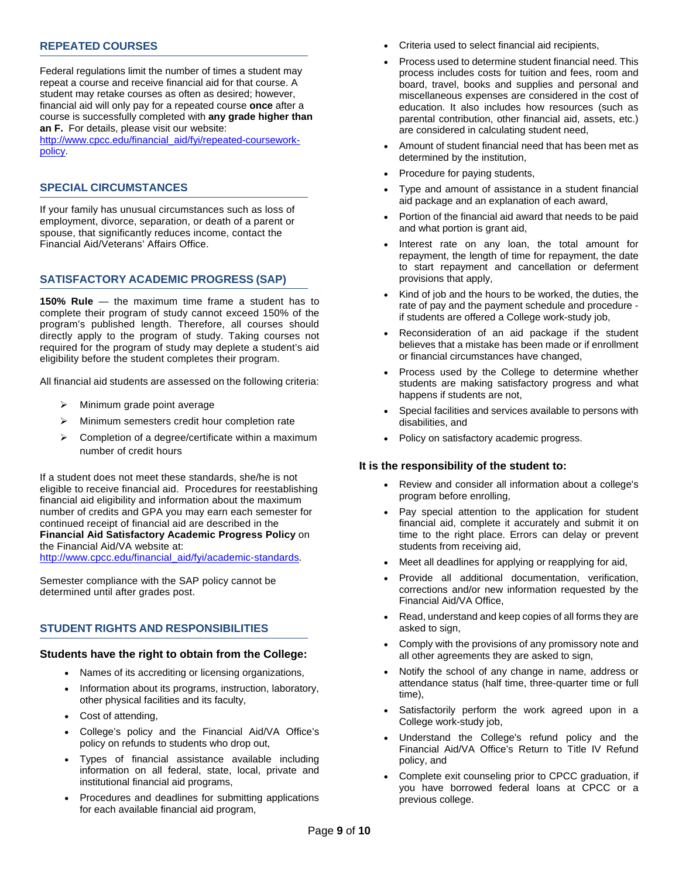# **REPEATED COURSES**

Federal regulations limit the number of times a student may repeat a course and receive financial aid for that course. A student may retake courses as often as desired; however, financial aid will only pay for a repeated course **once** after a course is successfully completed with **any grade higher than an F.** For details, please visit our website:

http://www.cpcc.edu/financial\_aid/fyi/repeated-courseworkpolicy.

# **SPECIAL CIRCUMSTANCES**

If your family has unusual circumstances such as loss of employment, divorce, separation, or death of a parent or spouse, that significantly reduces income, contact the Financial Aid/Veterans' Affairs Office.

# **SATISFACTORY ACADEMIC PROGRESS (SAP)**

**150% Rule** — the maximum time frame a student has to complete their program of study cannot exceed 150% of the program's published length. Therefore, all courses should directly apply to the program of study. Taking courses not required for the program of study may deplete a student's aid eligibility before the student completes their program.

All financial aid students are assessed on the following criteria:

- $\triangleright$  Minimum grade point average
- $\triangleright$  Minimum semesters credit hour completion rate
- $\triangleright$  Completion of a degree/certificate within a maximum number of credit hours

If a student does not meet these standards, she/he is not eligible to receive financial aid. Procedures for reestablishing financial aid eligibility and information about the maximum number of credits and GPA you may earn each semester for continued receipt of financial aid are described in the **Financial Aid Satisfactory Academic Progress Policy** on the Financial Aid/VA website at:

http://www.cpcc.edu/financial\_aid/fyi/academic-standards.

Semester compliance with the SAP policy cannot be determined until after grades post.

### **STUDENT RIGHTS AND RESPONSIBILITIES**

# **Students have the right to obtain from the College:**

- Names of its accrediting or licensing organizations,
- Information about its programs, instruction, laboratory, other physical facilities and its faculty,
- Cost of attending,
- College's policy and the Financial Aid/VA Office's policy on refunds to students who drop out,
- Types of financial assistance available including information on all federal, state, local, private and institutional financial aid programs,
- Procedures and deadlines for submitting applications for each available financial aid program,
- Criteria used to select financial aid recipients,
- Process used to determine student financial need. This process includes costs for tuition and fees, room and board, travel, books and supplies and personal and miscellaneous expenses are considered in the cost of education. It also includes how resources (such as parental contribution, other financial aid, assets, etc.) are considered in calculating student need,
- Amount of student financial need that has been met as determined by the institution,
- Procedure for paying students,
- Type and amount of assistance in a student financial aid package and an explanation of each award,
- Portion of the financial aid award that needs to be paid and what portion is grant aid,
- Interest rate on any loan, the total amount for repayment, the length of time for repayment, the date to start repayment and cancellation or deferment provisions that apply,
- Kind of job and the hours to be worked, the duties, the rate of pay and the payment schedule and procedure if students are offered a College work-study job,
- Reconsideration of an aid package if the student believes that a mistake has been made or if enrollment or financial circumstances have changed,
- Process used by the College to determine whether students are making satisfactory progress and what happens if students are not,
- Special facilities and services available to persons with disabilities, and
- Policy on satisfactory academic progress.

### **It is the responsibility of the student to:**

- Review and consider all information about a college's program before enrolling,
- Pay special attention to the application for student financial aid, complete it accurately and submit it on time to the right place. Errors can delay or prevent students from receiving aid,
- Meet all deadlines for applying or reapplying for aid,
- Provide all additional documentation, verification, corrections and/or new information requested by the Financial Aid/VA Office,
- Read, understand and keep copies of all forms they are asked to sign,
- Comply with the provisions of any promissory note and all other agreements they are asked to sign,
- Notify the school of any change in name, address or attendance status (half time, three-quarter time or full time),
- Satisfactorily perform the work agreed upon in a College work-study job,
- Understand the College's refund policy and the Financial Aid/VA Office's Return to Title IV Refund policy, and
- Complete exit counseling prior to CPCC graduation, if you have borrowed federal loans at CPCC or a previous college.